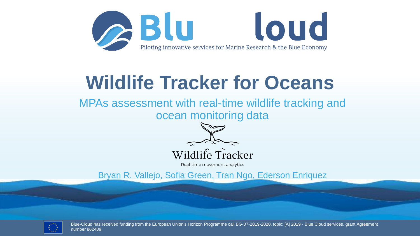

### **Wildlife Tracker for Oceans**

MPAs assessment with real-time wildlife tracking and ocean monitoring data



Wildlife Tracker

Real-time movement analytics

Bryan R. Vallejo, Sofia Green, Tran Ngo, Ederson Enriquez



Blue-Cloud has received funding from the European Union's Horizon Programme call BG-07-2019-2020, topic: [A] 2019 - Blue Cloud services, grant Agreement number 862409.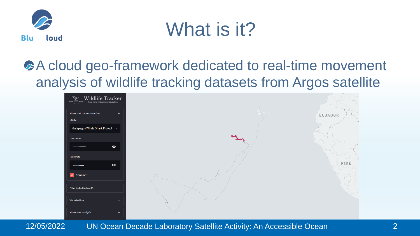

### What is it?

#### A cloud geo-framework dedicated to real-time movement analysis of wildlife tracking datasets from Argos satellite

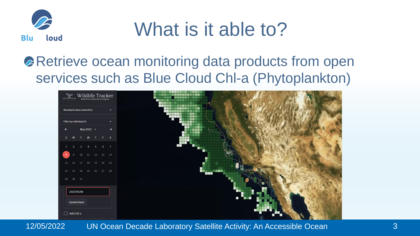

### What is it able to?

#### **Retrieve ocean monitoring data products from open** services such as Blue Cloud Chl-a (Phytoplankton)

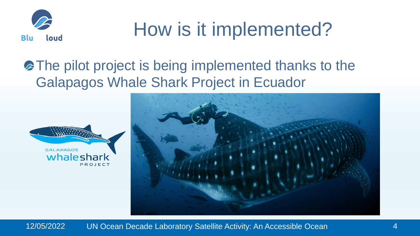

## How is it implemented?

#### **• The pilot project is being implemented thanks to the** Galapagos Whale Shark Project in Ecuador



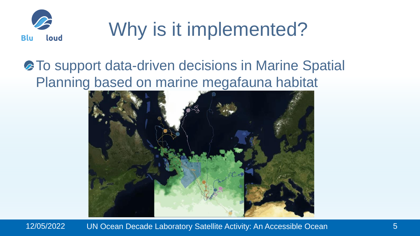

# Why is it implemented?

#### **• To support data-driven decisions in Marine Spatial** Planning based on marine megafauna habitat

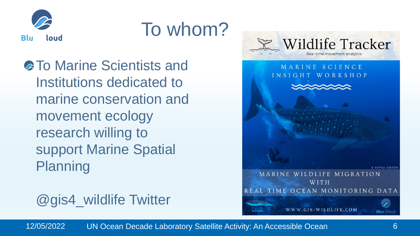

### To whom?

**A To Marine Scientists and** Institutions dedicated to marine conservation and movement ecology research willing to support Marine Spatial Planning

@gis4\_wildlife Twitter

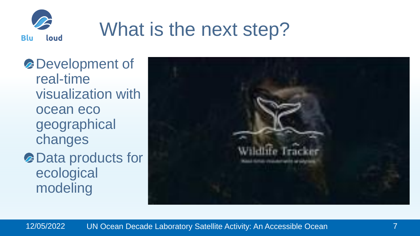

# What is the next step?

Development of real-time visualization with ocean eco geographical changes Data products for ecological modeling